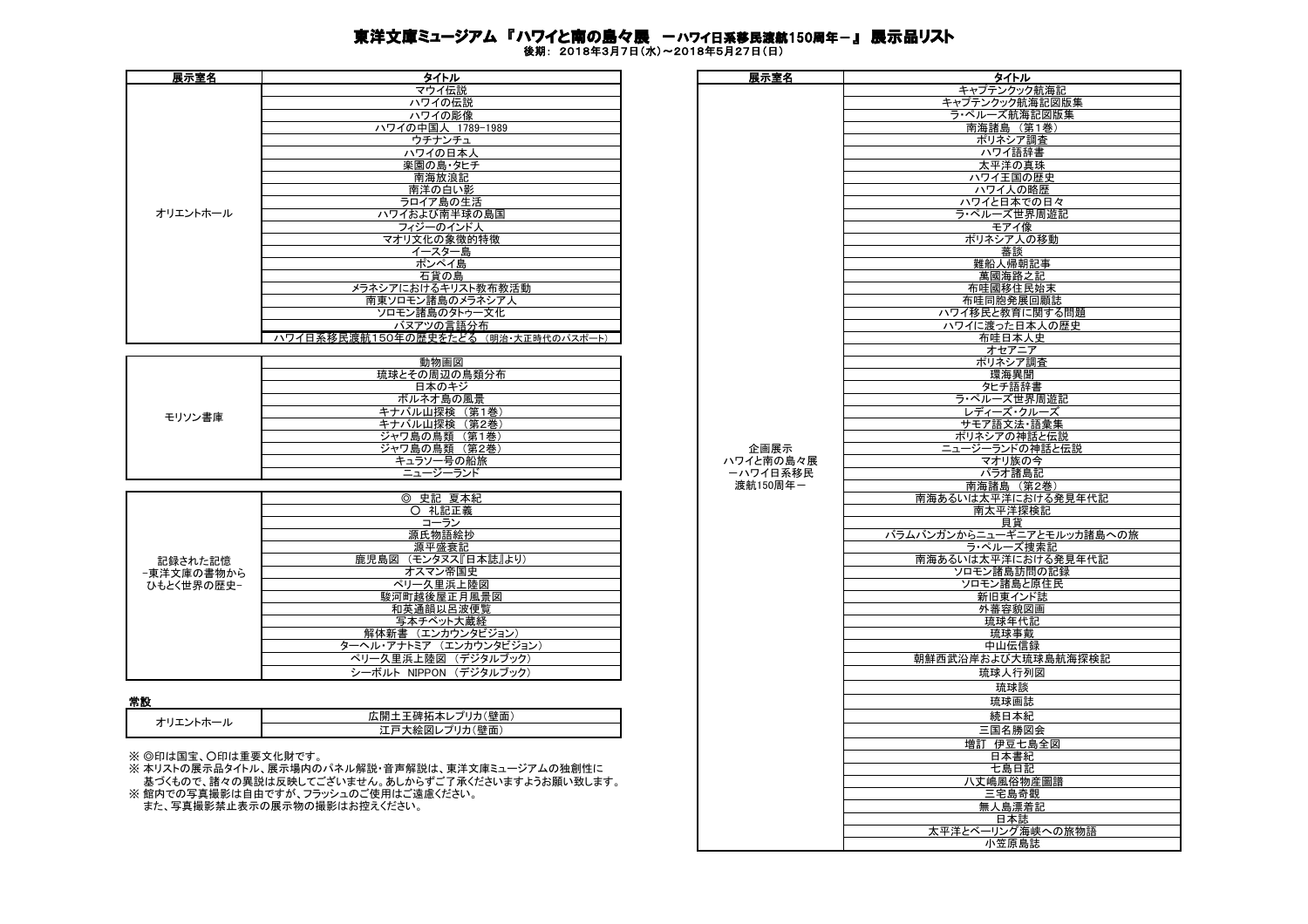## 東洋文庫ミュージアム 『ハワイと南の島々展 ーハワイ日系移民渡航150周年−』 展示品リスト

後期: 2018年3月7日(水)~2018年5月27日(日)

| 展示室名     | タイトル                                 | 展示室名 | タイトル        |
|----------|--------------------------------------|------|-------------|
|          | マウイ伝説                                |      | キャプテンクック航   |
|          | ハワイの伝説                               |      | キャプテンクック航海言 |
|          | ハワイの彫像                               |      | ラ・ペルーズ航海記   |
|          | ハワイの中国人 1789-1989                    |      | 南海諸島 (第1    |
|          | ウチナンチュ                               |      | ポリネシア調査     |
|          | ハワイの日本人                              |      | ハワイ語辞書      |
|          | 楽園の島・タヒチ                             |      | 太平洋の真珠      |
|          | 南海放浪記                                |      | ハワイ王国の歴     |
|          | 南洋の白い影                               |      | ハワイ人の略歴     |
|          | ラロイア島の生活                             |      | ハワイと日本での    |
| オリエントホール | ハワイおよび南半球の島国                         |      | ラ・ペルーズ世界周   |
|          | フィジーのインド人                            |      | モアイ像        |
|          | マオリ文化の象徴的特徴                          |      | ポリネシア人の移    |
|          | イースター島                               |      | 蕃談          |
|          | ポンペイ島                                |      | 難船人帰朝記      |
|          | 石貨の島                                 |      | 萬國海路之記      |
|          | メラネシアにおけるキリスト教布教活動                   |      | 布哇國移住民始     |
|          | 南東ソロモン諸島のメラネシア人                      |      | 布哇同胞発展回雇    |
|          | ソロモン諸島のタトゥー文化                        |      | ハワイ移民と教育に関  |
|          | バヌアツの言語分布                            |      | ハワイに渡った日本人  |
|          | ハワイ日系移民渡航150年の歴史をたどる (明治·大正時代のパスポート) |      | 布哇日本人史      |

|        | 動物画図                |
|--------|---------------------|
|        | 琉球とその周辺の鳥類分布        |
|        | 日本のキジ               |
|        | ボルネオ島の風景            |
| モリソン書庫 | 第1巻<br><b>ヾル山探検</b> |
|        | 第2巻<br>ル山探検         |
|        | 第1巻<br>ジャワ島の鳥類      |
|        | (第2巻)<br>ジャワ島の鳥類    |
|        | 号の船旅                |
|        | ニュージーランド            |

|            | 史記 夏本紀<br>⊚             |
|------------|-------------------------|
|            | 礼記正義<br>∩               |
|            | コーラン                    |
|            | 源氏物語絵抄                  |
|            | 源平盛衰記                   |
| 記録された記憶    | 鹿児島図<br>(モンタヌス『日本誌』より)  |
| −東洋文庫の書物から | オスマン帝国史                 |
| ひもとく世界の歴史- | ペリー久里浜上陸図               |
|            | 駿河町越後屋正月風景図             |
|            | 和英通韻以呂波便覧               |
|            | 写本チベット大蔵経               |
|            | 解体新書 (エンカウンタビジョン)       |
|            | ターヘル・アナトミア (エンカウンタビジョン) |
|            | ペリー久里浜上陸図 (デジタルブック)     |
|            | シーボルト NIPPON (デジタルブック)  |

| :王碑拓本レプリカ(壁面)<br>: 開・<br>И٠<br>〔壁面<br>ر االاا`<br> | . |  |
|----------------------------------------------------|---|--|
|                                                    |   |  |
|                                                    |   |  |

| 展示室名                | タイトル                                             | 展示室名      | タイトル                      |
|---------------------|--------------------------------------------------|-----------|---------------------------|
|                     | マウイ伝説                                            |           | キャプテンクック航海記               |
|                     |                                                  |           |                           |
|                     | ハワイの伝説                                           |           | キャプテンクック航海記図版集            |
|                     | ハワイの彫像                                           |           | ラ・ペルーズ航海記図版集              |
|                     | ハワイの中国人 1789-1989                                |           | 南海諸島 (第1巻)                |
|                     |                                                  |           |                           |
|                     | ウチナンチュ                                           |           | ポリネシア調査                   |
|                     | ハワイの日本人                                          |           | ハワイ語辞書                    |
|                     | 楽園の島・タヒチ                                         |           | 太平洋の真珠                    |
|                     |                                                  |           |                           |
|                     | 南海放浪記                                            |           | ハワイ王国の歴史                  |
|                     | 南洋の白い影                                           |           | ハワイ人の略歴                   |
|                     |                                                  |           |                           |
|                     | ラロイア島の生活                                         |           | ハワイと日本での日々                |
| オリエントホール            | ハワイおよび南半球の島国                                     |           | ラ・ペルーズ世界周遊記               |
|                     | フィジーのインド人                                        |           | モアイ像                      |
|                     |                                                  |           |                           |
|                     | マオリ文化の象徴的特徴                                      |           | ポリネシア人の移動                 |
|                     | イースター島                                           |           | 蕃談                        |
|                     | ポンペイ島                                            |           | 難船人帰朝記事                   |
|                     |                                                  |           |                           |
|                     | 石貨の島                                             |           | 萬國海路之記                    |
|                     | メラネシアにおけるキリスト教布教活動                               |           | 布哇國移住民始末                  |
|                     |                                                  |           |                           |
|                     | 南東ソロモン諸島のメラネシア人                                  |           | 布哇同胞発展回顧誌                 |
|                     | ソロモン諸島のタトゥー文化                                    |           | ハワイ移民と教育に関する問題            |
|                     | バヌアツの言語分布                                        |           | ハワイに渡った日本人の歴史             |
|                     |                                                  |           |                           |
|                     | ハワイ日系移民渡航150年の歴史をたどる (明治・大正時代のパスポート)             |           | 布哇日本人史                    |
|                     |                                                  |           | オセアニア                     |
|                     | 動物画図                                             |           | ポリネシア調査                   |
|                     |                                                  |           |                           |
|                     | 琉球とその周辺の鳥類分布                                     |           | 環海異聞                      |
|                     | 日本のキジ                                            |           | タヒチ語辞書                    |
|                     | ボルネオ島の風景                                         |           | ラ・ペルーズ世界周遊記               |
|                     |                                                  |           |                           |
| モリソン書庫              | キナバル山探検 (第1巻)                                    |           | レディーズ・クルーズ                |
|                     | キナバル山探検 (第2巻)                                    |           | サモア語文法・語彙集                |
|                     | ジャワ島の鳥類 (第1巻)                                    |           | ポリネシアの神話と伝説               |
|                     |                                                  |           |                           |
|                     | ジャワ島の鳥類 (第2巻)                                    | 企画展示      | ニュージーランドの神話と伝説            |
|                     | キュラソー号の船旅                                        | ハワイと南の島々展 | マオリ族の今                    |
|                     | ニュージーランド                                         | ーハワイ日系移民  | パラオ諸島記                    |
|                     |                                                  |           |                           |
|                     |                                                  | 渡航150周年一  | 南海諸島 (第2巻)                |
|                     | ◎ 史記 夏本紀                                         |           | 南海あるいは太平洋における発見年代記        |
|                     | ○ 礼記正義                                           |           | 南太平洋探検記                   |
|                     |                                                  |           |                           |
|                     | コーラン                                             |           | 貝貨                        |
|                     | 源氏物語絵抄                                           |           | バラムバンガンからニューギニアとモルッカ諸島への旅 |
|                     | 源平盛衰記                                            |           | ラ・ペルーズ捜索記                 |
|                     |                                                  |           |                           |
| 記録された記憶             | 鹿児島図 (モンタヌス『日本誌』より)                              |           | 南海あるいは太平洋における発見年代記        |
| -東洋文庫の書物から          | オスマン帝国史                                          |           | ソロモン諸島訪問の記録               |
| ひもとく世界の歴史−          | ペリー久里浜上陸図                                        |           | ソロモン諸島と原住民                |
|                     | 駿河町越後屋正月風景図                                      |           |                           |
|                     |                                                  |           | 新旧東インド誌                   |
|                     | 和英通韻以呂波便覧                                        |           | 外蕃容貌図画                    |
|                     | 写本チベット大蔵経                                        |           | 琉球年代記                     |
|                     |                                                  |           |                           |
|                     | 解体新書 (エンカウンタビジョン)                                |           | 琉球事戴                      |
|                     | ターヘル・アナトミア (エンカウンタビジョン)                          |           | 中山伝信録                     |
|                     | ペリー久里浜上陸図 (デジタルブック)                              |           | 朝鮮西武沿岸および大琉球島航海探検記        |
|                     |                                                  |           |                           |
|                     | シーボルト NIPPON (デジタルブック)                           |           | 琉球人行列図                    |
|                     |                                                  |           | 琉球談                       |
|                     |                                                  |           |                           |
| 常設                  |                                                  |           | 琉球画誌                      |
|                     | 広開土王碑拓本レプリカ(壁面)                                  |           | 続日本紀                      |
| オリエントホール            |                                                  |           |                           |
|                     | 江戸大絵図レプリカ(壁面)                                    |           | 三国名勝図会                    |
|                     |                                                  |           | 増訂 伊豆七島全図                 |
|                     |                                                  |           |                           |
| ※ ◎印は国宝、〇印は重要文化財です。 |                                                  |           | 日本書紀                      |
|                     | ※ 本リストの展示品タイトル、展示場内のパネル解説・音声解説は、東洋文庫ミュージアムの独創性に  |           | 七島日記                      |
|                     |                                                  |           |                           |
|                     | 基づくもので、諸々の異説は反映してございません。あしからずご了承くださいますようお願い致します。 |           | 八丈嶋風俗物産圖譜                 |
|                     | ※館内での写真撮影は自由ですが、フラッシュのご使用はご遠慮ください。               |           | 三宅島奇觀                     |
|                     | また、写真撮影禁止表示の展示物の撮影はお控えください。                      |           | 無人島漂着記                    |
|                     |                                                  |           |                           |
|                     |                                                  |           | 日本誌                       |
|                     |                                                  |           | 太平洋とベーリング海峡への旅物語          |
|                     |                                                  |           |                           |
|                     |                                                  |           | 小笠原島誌                     |